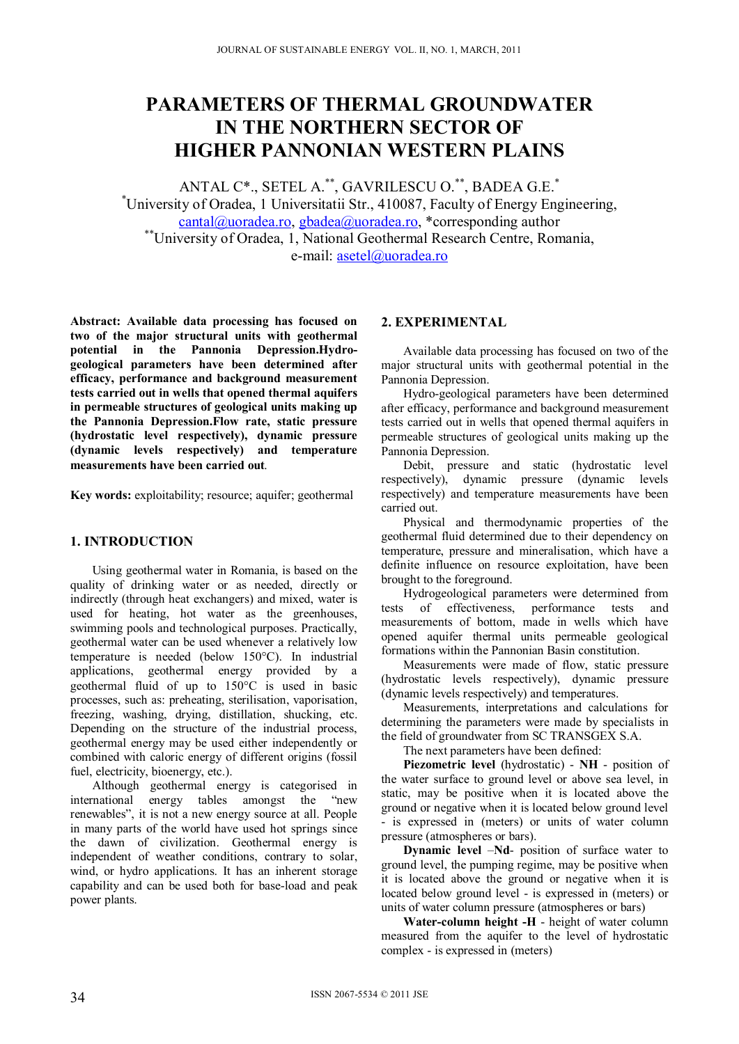# **PARAMETERS OF THERMAL GROUNDWATER IN THE NORTHERN SECTOR OF HIGHER PANNONIAN WESTERN PLAINS**

ANTAL C\*., SETEL A.\*\*, GAVRILESCU O.\*\*, BADEA G.E.\* \* University of Oradea, 1 Universitatii Str., 410087, Faculty of Energy Engineering, cantal@uoradea.ro, gbadea@uoradea.ro, \*corresponding author \*\*University of Oradea, 1, National Geothermal Research Centre, Romania, e-mail: asetel@uoradea.ro

**Abstract: Available data processing has focused on two of the major structural units with geothermal potential in the Pannonia Depression.Hydrogeological parameters have been determined after efficacy, performance and background measurement tests carried out in wells that opened thermal aquifers in permeable structures of geological units making up the Pannonia Depression.Flow rate, static pressure (hydrostatic level respectively), dynamic pressure (dynamic levels respectively) and temperature measurements have been carried out***.* 

**Key words:** exploitability; resource; aquifer; geothermal

## **1. INTRODUCTION**

Using geothermal water in Romania, is based on the quality of drinking water or as needed, directly or indirectly (through heat exchangers) and mixed, water is used for heating, hot water as the greenhouses, swimming pools and technological purposes. Practically, geothermal water can be used whenever a relatively low temperature is needed (below 150°C). In industrial applications, geothermal energy provided by a geothermal fluid of up to  $150^{\circ}$ C is used in basic processes, such as: preheating, sterilisation, vaporisation, freezing, washing, drying, distillation, shucking, etc. Depending on the structure of the industrial process, geothermal energy may be used either independently or combined with caloric energy of different origins (fossil fuel, electricity, bioenergy, etc.).

Although geothermal energy is categorised in international energy tables amongst the "new renewables", it is not a new energy source at all. People in many parts of the world have used hot springs since the dawn of civilization. Geothermal energy is independent of weather conditions, contrary to solar, wind, or hydro applications. It has an inherent storage capability and can be used both for base-load and peak power plants.

## **2. EXPERIMENTAL**

Available data processing has focused on two of the major structural units with geothermal potential in the Pannonia Depression.

Hydro-geological parameters have been determined after efficacy, performance and background measurement tests carried out in wells that opened thermal aquifers in permeable structures of geological units making up the Pannonia Depression.

Debit, pressure and static (hydrostatic level respectively), dynamic pressure (dynamic levels respectively) and temperature measurements have been carried out.

Physical and thermodynamic properties of the geothermal fluid determined due to their dependency on temperature, pressure and mineralisation, which have a definite influence on resource exploitation, have been brought to the foreground.

Hydrogeological parameters were determined from tests of effectiveness, performance tests and measurements of bottom, made in wells which have opened aquifer thermal units permeable geological formations within the Pannonian Basin constitution.

Measurements were made of flow, static pressure (hydrostatic levels respectively), dynamic pressure (dynamic levels respectively) and temperatures.

Measurements, interpretations and calculations for determining the parameters were made by specialists in the field of groundwater from SC TRANSGEX S.A.

The next parameters have been defined:

**Piezometric level** (hydrostatic) - **NH** - position of the water surface to ground level or above sea level, in static, may be positive when it is located above the ground or negative when it is located below ground level - is expressed in (meters) or units of water column pressure (atmospheres or bars).

**Dynamic level** –**Nd**- position of surface water to ground level, the pumping regime, may be positive when it is located above the ground or negative when it is located below ground level - is expressed in (meters) or units of water column pressure (atmospheres or bars)

**Water-column height -H** - height of water column measured from the aquifer to the level of hydrostatic complex - is expressed in (meters)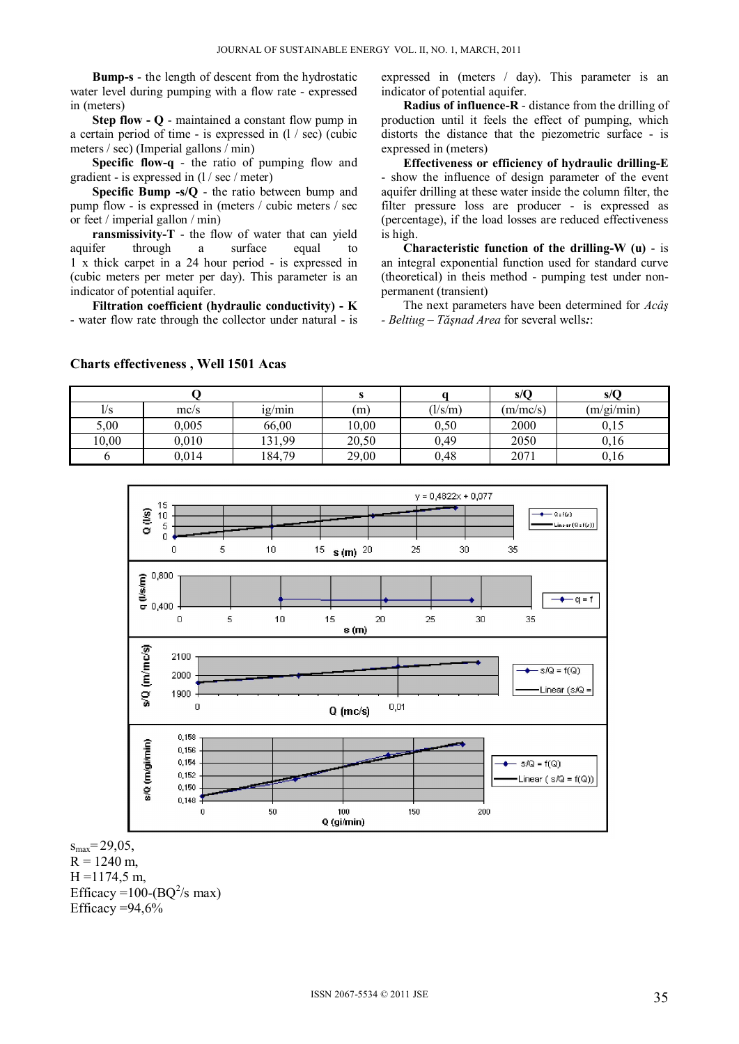**Bump-s** - the length of descent from the hydrostatic water level during pumping with a flow rate - expressed in (meters)

**Step flow - Q** - maintained a constant flow pump in a certain period of time - is expressed in (l / sec) (cubic meters / sec) (Imperial gallons / min)

**Specific flow-q** - the ratio of pumping flow and gradient - is expressed in (l / sec / meter)

**Specific Bump -s/O** - the ratio between bump and pump flow - is expressed in (meters / cubic meters / sec or feet / imperial gallon / min)

**ransmissivity-T** - the flow of water that can yield aquifer through a surface equal to 1 x thick carpet in a 24 hour period - is expressed in (cubic meters per meter per day). This parameter is an indicator of potential aquifer.

**Filtration coefficient (hydraulic conductivity) - K** - water flow rate through the collector under natural - is expressed in (meters / day). This parameter is an indicator of potential aquifer.

**Radius of influence-R** - distance from the drilling of production until it feels the effect of pumping, which distorts the distance that the piezometric surface - is expressed in (meters)

**Effectiveness or efficiency of hydraulic drilling-E** - show the influence of design parameter of the event aquifer drilling at these water inside the column filter, the filter pressure loss are producer - is expressed as (percentage), if the load losses are reduced effectiveness is high.

**Characteristic function of the drilling-W (u)** - is an integral exponential function used for standard curve (theoretical) in theis method - pumping test under nonpermanent (transient)

The next parameters have been determined for *Acâş - Beltiug – Tăşnad Area* for several wells*:*:

|       |       |        |       |         | s/Q      | s/Q        |
|-------|-------|--------|-------|---------|----------|------------|
| l/S   | mc/s  | ig/min | (m)   | (l/s/m) | (m/mc/s) | (m/gi/min) |
| 5,00  | 0,005 | 66,00  | 10,00 | 0,50    | 2000     | 0,15       |
| 10,00 | 0,010 | 131,99 | 20,50 | 0.49    | 2050     | 0.16       |
|       | 0,014 | 184,79 | 29,00 | 0.48    | 2071     | 0,16       |





 $s_{\text{max}} = 29,05$ ,  $R = 1240$  m,  $H = 1174.5$  m, Efficacy =  $100-(BQ^2/s)$  max) Efficacy  $=94,6%$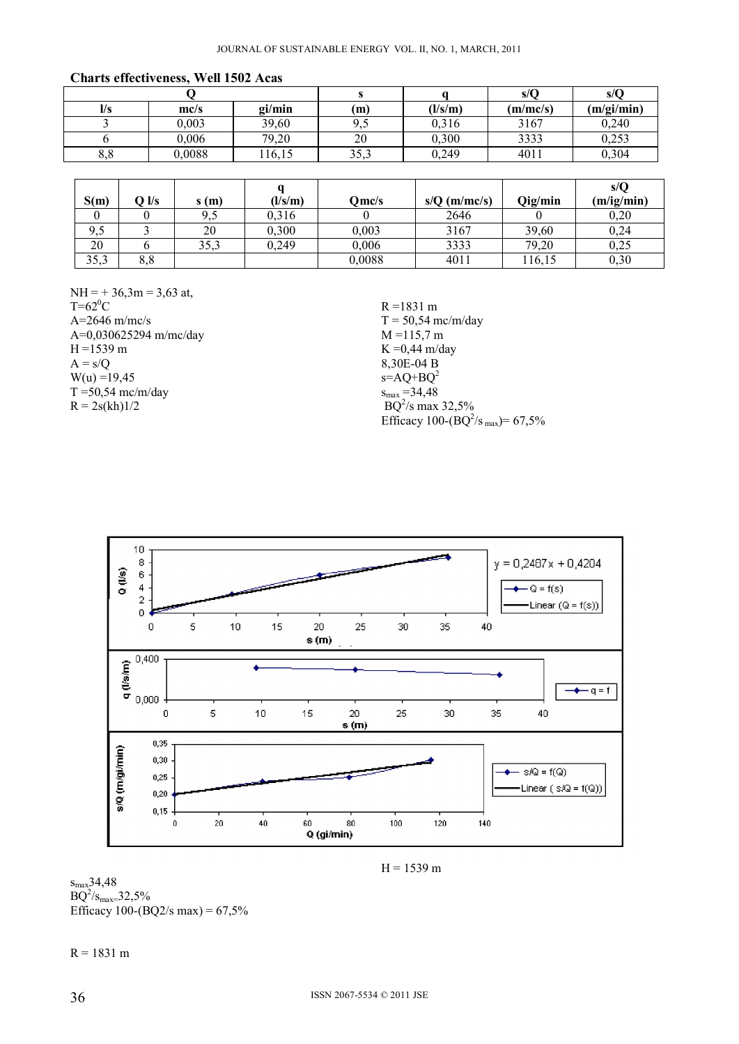| <b>Charts effectiveness, Well 1502 Acas</b> |        |        |      |         |          |            |  |  |
|---------------------------------------------|--------|--------|------|---------|----------|------------|--|--|
|                                             |        |        |      |         | s/C      | s/O        |  |  |
| $\mathbf{l}/\mathbf{s}$                     | mc/s   | gi/min | (m)  | (l/s/m) | (m/mc/s) | (m/gi/min) |  |  |
|                                             | 0.003  | 39,60  |      | 0,316   | 3167     | 0,240      |  |  |
|                                             | 0.006  | 79,20  | 20   | 0,300   | 3333     | 0,253      |  |  |
| 8.8                                         | 0,0088 | 16,15  | 35.3 | 0,249   | 4011     | 0,304      |  |  |

|     | 0,003  | 39,60  | $\cap$ $\vdash$<br>ノ、ン | 0,316 | 3167 |  |
|-----|--------|--------|------------------------|-------|------|--|
|     | 0,006  | 79,20  | nη<br>∠∪               | 0,300 | 3333 |  |
| 8,8 | 0,0088 | 116,15 | 252<br>ن د ب           | 0.249 | 4011 |  |
|     |        |        |                        |       |      |  |
|     |        |        |                        |       |      |  |

|      |                 |      |                  |        |                |         | s/Q        |
|------|-----------------|------|------------------|--------|----------------|---------|------------|
| S(m) | $7\,\mathrm{K}$ | s(m) | $\frac{1}{s(m)}$ | Omc/s  | $s/Q$ (m/mc/s) | Qig/min | (m/ig/min) |
|      |                 | ں ،  | 0.316            |        | 2646           |         | 0,20       |
| 9,5  |                 | 20   | 0.300            | 0,003  | 3167           | 39,60   | 0.24       |
| 20   |                 | 35.3 | 0.249            | 0.006  | 3333           | 79,20   | 0,25       |
| 35,3 | 8,8             |      |                  | 0,0088 | 401            | 116,15  | 0,30       |

 $NH = +36,3m = 3,63$  at,  $T=62$ <sup>o</sup>C A=2646 m/mc/s A=0,030625294 m/mc/day  $H = 1539$  m  $A = s/Q$  $W(u) = 19,45$  $T = 50,54$  mc/m/day  $R = 2s(kh)1/2$ 

 $R = 1831 m$  $T = 50,54$  mc/m/day  $M = 115,7 m$  $K = 0,44$  m/day 8,30E-04 B  $s = AQ + BQ^2$  $s_{\text{max}} = 34,48$  $BQ^2$ /s max 32,5% Efficacy 100- $(BQ^2/s_{max})=67,5\%$ 



 $H = 1539$  m

smax34,48  $BQ^2/s_{\text{max}} = 32,5\%$ Efficacy 100-(BQ2/s max) =  $67,5\%$ 

 $R = 1831 m$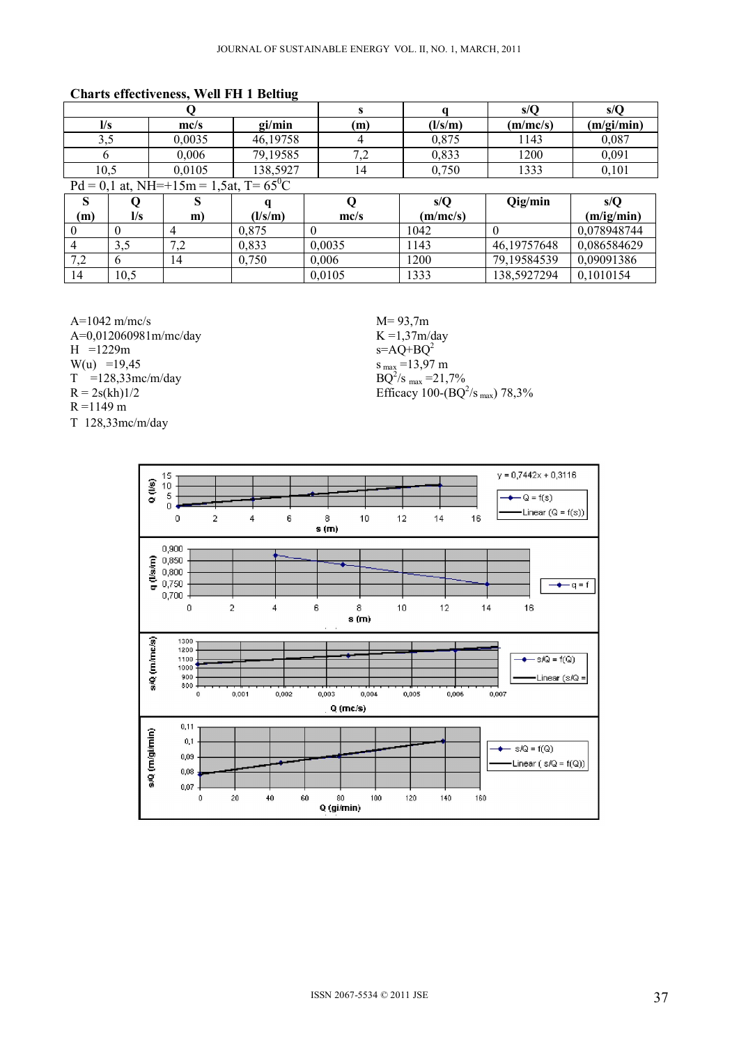# **Charts effectiveness, Well FH 1 Beltiug**

|                         |                                                      |                |                  | s        |          | s/Q            | s/Q         |  |  |  |
|-------------------------|------------------------------------------------------|----------------|------------------|----------|----------|----------------|-------------|--|--|--|
| $\mathbf{l}/\mathbf{s}$ |                                                      | mc/s           | gi/min           | (m)      | (l/s/m)  | (m/mc/s)       | (m/gi/min)  |  |  |  |
| 3,5                     |                                                      | 0,0035         | 46,19758         | 4        | 0,875    | 1143           | 0,087       |  |  |  |
| <sub>6</sub>            |                                                      | 0,006          | 79,19585         | 7,2      | 0,833    | 1200           | 0,091       |  |  |  |
| 10,5                    |                                                      | 0,0105         | 138,5927         | 14       | 0,750    | 1333           | 0,101       |  |  |  |
|                         | $Pd = 0,1$ at, NH=+15m = 1,5at, T= 65 <sup>0</sup> C |                |                  |          |          |                |             |  |  |  |
| S                       |                                                      | ð              |                  | Q        | s/Q      | Qig/min        | s/Q         |  |  |  |
| (m)                     | $\mathbf{l}/\mathbf{s}$                              | m)             | $\frac{1}{s(m)}$ | mc/s     | (m/mc/s) |                | (m/ig/min)  |  |  |  |
| 0                       | $\theta$                                             | $\overline{4}$ | 0,875            | $\Omega$ | 1042     | $\overline{0}$ | 0,078948744 |  |  |  |
| 4                       | 3,5                                                  | 7,2            | 0,833            | 0,0035   | 1143     | 46,19757648    | 0,086584629 |  |  |  |
| 7,2                     | 6                                                    | 14             | 0,750            | 0,006    | 1200     | 79,19584539    | 0,09091386  |  |  |  |
| 14                      | 10,5                                                 |                |                  | 0,0105   | 1333     | 138,5927294    | 0,1010154   |  |  |  |

A=1042 m/mc/s<br>A=0,012060981m/mc/day<br>K =1,37m/day<br>K =1,37m/day A=0,012060981m/mc/day<br>H =1229m  $K = 1,37$ m/d<br>S=AQ+BQ<sup>2</sup> H =1229m<br>W(u) =19,45  $W(u) = 19,45$  s  $m_{\text{max}} = 13,97 \text{ m}$ T =128,33mc/m/day<br>R = 2s(kh)1/2  $R = 1149$  m T 128,33mc/m/day

 $/s_{\text{max}} = 21,7\%$  $R = 2s(kh)1/2$  Efficacy 100-(BQ<sup>2</sup>/s<sub>max</sub>) 78,3%